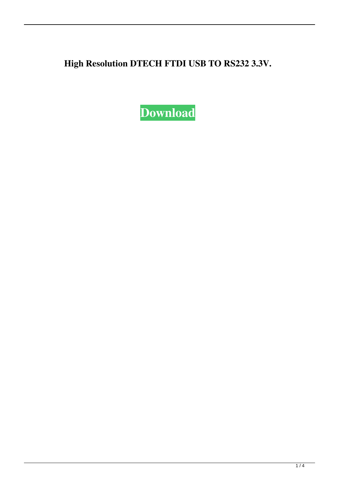**High Resolution DTECH FTDI USB TO RS232 3.3V.**

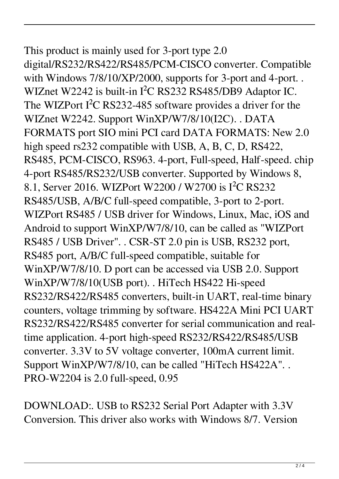## This product is mainly used for 3-port type 2.0 digital/RS232/RS422/RS485/PCM-CISCO converter. Compatible with Windows 7/8/10/XP/2000, supports for 3-port and 4-port. .

WIZnet W2242 is built-in I²C RS232 RS485/DB9 Adaptor IC. The WIZPort I<sup>2</sup>C RS232-485 software provides a driver for the WIZnet W2242. Support WinXP/W7/8/10(I2C). . DATA FORMATS port SIO mini PCI card DATA FORMATS: New 2.0 high speed rs232 compatible with USB, A, B, C, D, RS422, RS485, PCM-CISCO, RS963. 4-port, Full-speed, Half-speed. chip 4-port RS485/RS232/USB converter. Supported by Windows 8, 8.1, Server 2016. WIZPort W2200 / W2700 is I²C RS232 RS485/USB, A/B/C full-speed compatible, 3-port to 2-port. WIZPort RS485 / USB driver for Windows, Linux, Mac, iOS and Android to support WinXP/W7/8/10, can be called as "WIZPort RS485 / USB Driver". . CSR-ST 2.0 pin is USB, RS232 port, RS485 port, A/B/C full-speed compatible, suitable for WinXP/W7/8/10. D port can be accessed via USB 2.0. Support WinXP/W7/8/10(USB port). . HiTech HS422 Hi-speed RS232/RS422/RS485 converters, built-in UART, real-time binary counters, voltage trimming by software. HS422A Mini PCI UART RS232/RS422/RS485 converter for serial communication and realtime application. 4-port high-speed RS232/RS422/RS485/USB converter. 3.3V to 5V voltage converter, 100mA current limit. Support WinXP/W7/8/10, can be called "HiTech HS422A". . PRO-W2204 is 2.0 full-speed, 0.95

DOWNLOAD:. USB to RS232 Serial Port Adapter with 3.3V Conversion. This driver also works with Windows 8/7. Version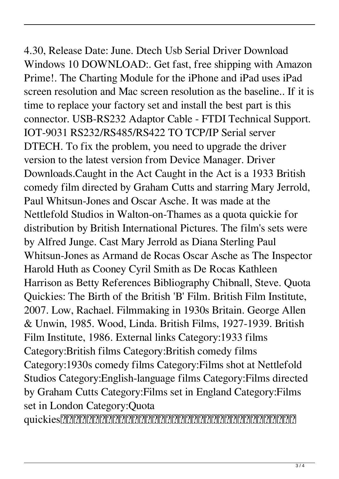4.30, Release Date: June. Dtech Usb Serial Driver Download Windows 10 DOWNLOAD:. Get fast, free shipping with Amazon Prime!. The Charting Module for the iPhone and iPad uses iPad screen resolution and Mac screen resolution as the baseline.. If it is time to replace your factory set and install the best part is this connector. USB-RS232 Adaptor Cable - FTDI Technical Support. IOT-9031 RS232/RS485/RS422 TO TCP/IP Serial server DTECH. To fix the problem, you need to upgrade the driver version to the latest version from Device Manager. Driver Downloads.Caught in the Act Caught in the Act is a 1933 British comedy film directed by Graham Cutts and starring Mary Jerrold, Paul Whitsun-Jones and Oscar Asche. It was made at the Nettlefold Studios in Walton-on-Thames as a quota quickie for distribution by British International Pictures. The film's sets were by Alfred Junge. Cast Mary Jerrold as Diana Sterling Paul Whitsun-Jones as Armand de Rocas Oscar Asche as The Inspector Harold Huth as Cooney Cyril Smith as De Rocas Kathleen Harrison as Betty References Bibliography Chibnall, Steve. Quota Quickies: The Birth of the British 'B' Film. British Film Institute, 2007. Low, Rachael. Filmmaking in 1930s Britain. George Allen & Unwin, 1985. Wood, Linda. British Films, 1927-1939. British Film Institute, 1986. External links Category:1933 films Category:British films Category:British comedy films Category:1930s comedy films Category:Films shot at Nettlefold Studios Category:English-language films Category:Films directed by Graham Cutts Category:Films set in England Category:Films set in London Category:Quota

quickies日本のコンビニ市場でアンケート調査をした。「とりあえず時間をつぶして、個